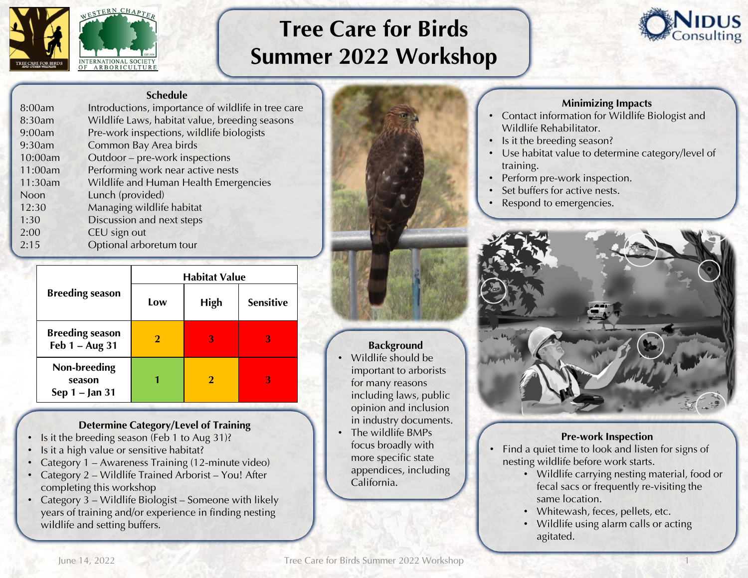

# Tree Care for Birds Summer 2022 Workshop



#### Schedule

| 8:00am  | Introductions, importance of wildlife in tree care |
|---------|----------------------------------------------------|
| 8:30am  | Wildlife Laws, habitat value, breeding seasons     |
| 9:00am  | Pre-work inspections, wildlife biologists          |
| 9:30am  | Common Bay Area birds                              |
| 10:00am | Outdoor - pre-work inspections                     |
| 11:00am | Performing work near active nests                  |
| 11:30am | Wildlife and Human Health Emergencies              |
| Noon    | Lunch (provided)                                   |
| 12:30   | Managing wildlife habitat                          |
| 1:30    | Discussion and next steps                          |
| 2:00    | CEU sign out                                       |
| 2:15    | Optional arboretum tour                            |
|         |                                                    |

|                                            | <b>Habitat Value</b> |             |                  |
|--------------------------------------------|----------------------|-------------|------------------|
| <b>Breeding season</b>                     | Low                  | <b>High</b> | <b>Sensitive</b> |
| <b>Breeding season</b><br>Feb $1 - Aug$ 31 |                      | 3           | З                |
| Non-breeding<br>season<br>Sep 1 – Jan 31   |                      |             | З                |

# Determine Category/Level of Training

- Is it the breeding season (Feb 1 to Aug 31)?
- Is it a high value or sensitive habitat?
- Category 1 Awareness Training (12-minute video)
- Category 2 Wildlife Trained Arborist You! After completing this workshop
- Category 3 Wildlife Biologist Someone with likely years of training and/or experience in finding nesting wildlife and setting buffers.



# **Background**

- Wildlife should be important to arborists for many reasons including laws, public opinion and inclusion in industry documents.
- The wildlife BMPs focus broadly with more specific state appendices, including California.

### Minimizing Impacts

- Contact information for Wildlife Biologist and Wildlife Rehabilitator.
- Is it the breeding season?
- Use habitat value to determine category/level of training.
- Perform pre-work inspection.
- Set buffers for active nests.
- Respond to emergencies.



# Pre-work Inspection

- Find a quiet time to look and listen for signs of nesting wildlife before work starts.
	- Wildlife carrying nesting material, food or fecal sacs or frequently re-visiting the same location.
	- Whitewash, feces, pellets, etc.
	- Wildlife using alarm calls or acting agitated.